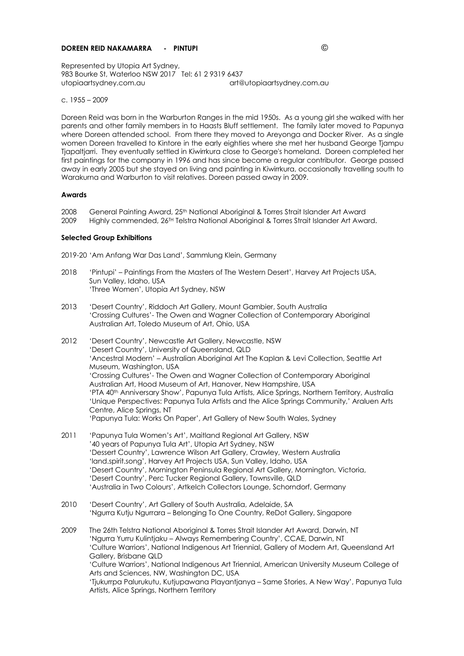# **DOREEN REID NAKAMARRA - PINTUPI** ©

Represented by Utopia Art Sydney, 983 Bourke St, Waterloo NSW 2017 Tel: 61 2 9319 6437 utopiaartsydney.com.au art@utopiaartsydney.com.au

c. 1955 – 2009

Doreen Reid was born in the Warburton Ranges in the mid 1950s. As a young girl she walked with her parents and other family members in to Haasts Bluff settlement. The family later moved to Papunya where Doreen attended school. From there they moved to Areyonga and Docker River. As a single women Doreen travelled to Kintore in the early eighties where she met her husband George Tjampu Tjapaltjarri. They eventually settled in Kiwirrkura close to George's homeland. Doreen completed her first paintings for the company in 1996 and has since become a regular contributor. George passed away in early 2005 but she stayed on living and painting in Kiwirrkura, occasionally travelling south to Warakurna and Warburton to visit relatives. Doreen passed away in 2009.

#### **Awards**

2008 General Painting Award, 25th National Aboriginal & Torres Strait Islander Art Award 2009 Highly commended, 26TH Telstra National Aboriginal & Torres Strait Islander Art Award.

#### **Selected Group Exhibitions**

2019-20 'Am Anfang War Das Land', Sammlung Klein, Germany

- 2018 'Pintupi' Paintings From the Masters of The Western Desert', Harvey Art Projects USA, Sun Valley, Idaho, USA 'Three Women', Utopia Art Sydney, NSW
- 2013 'Desert Country', Riddoch Art Gallery, Mount Gambier, South Australia 'Crossing Cultures'- The Owen and Wagner Collection of Contemporary Aboriginal Australian Art, Toledo Museum of Art, Ohio, USA
- 2012 'Desert Country', Newcastle Art Gallery, Newcastle, NSW 'Desert Country', University of Queensland, QLD 'Ancestral Modern' – Australian Aboriginal Art The Kaplan & Levi Collection, Seattle Art Museum, Washington, USA 'Crossing Cultures'- The Owen and Wagner Collection of Contemporary Aboriginal Australian Art, Hood Museum of Art, Hanover, New Hampshire, USA 'PTA 40th Anniversary Show', Papunya Tula Artists, Alice Springs, Northern Territory, Australia 'Unique Perspectives: Papunya Tula Artists and the Alice Springs Community,' Araluen Arts Centre, Alice Springs, NT 'Papunya Tula: Works On Paper', Art Gallery of New South Wales, Sydney
- 2011 'Papunya Tula Women's Art', Maitland Regional Art Gallery, NSW '40 years of Papunya Tula Art', Utopia Art Sydney, NSW 'Dessert Country', Lawrence Wilson Art Gallery, Crawley, Western Australia 'land.spirit.song', Harvey Art Projects USA, Sun Valley, Idaho, USA 'Desert Country', Mornington Peninsula Regional Art Gallery, Mornington, Victoria, 'Desert Country', Perc Tucker Regional Gallery, Townsville, QLD 'Australia in Two Colours', Artkelch Collectors Lounge, Schorndorf, Germany
- 2010 'Desert Country', Art Gallery of South Australia, Adelaide, SA 'Ngurra Kutju Ngurrara – Belonging To One Country, ReDot Gallery, Singapore
- 2009 The 26th Telstra National Aboriginal & Torres Strait Islander Art Award, Darwin, NT 'Ngurra Yurru Kulintjaku – Always Remembering Country', CCAE, Darwin, NT 'Culture Warriors', National Indigenous Art Triennial, Gallery of Modern Art, Queensland Art Gallery, Brisbane QLD 'Culture Warriors', National Indigenous Art Triennial, American University Museum College of Arts and Sciences, NW, Washington DC, USA 'Tjukurrpa Palurukutu, Kutjupawana Playantjanya – Same Stories, A New Way', Papunya Tula Artists, Alice Springs, Northern Territory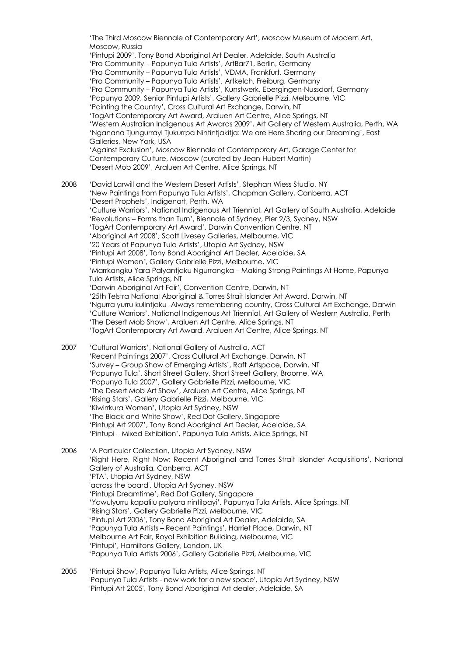'The Third Moscow Biennale of Contemporary Art', Moscow Museum of Modern Art, Moscow, Russia 'Pintupi 2009', Tony Bond Aboriginal Art Dealer, Adelaide, South Australia 'Pro Community – Papunya Tula Artists', ArtBar71, Berlin, Germany 'Pro Community – Papunya Tula Artists', VDMA, Frankfurt, Germany 'Pro Community – Papunya Tula Artists', Artkelch, Freiburg, Germany 'Pro Community – Papunya Tula Artists', Kunstwerk, Ebergingen-Nussdorf, Germany 'Papunya 2009, Senior Pintupi Artists', Gallery Gabrielle Pizzi, Melbourne, VIC 'Painting the Country', Cross Cultural Art Exchange, Darwin, NT 'TogArt Contemporary Art Award, Araluen Art Centre, Alice Springs, NT 'Western Australian Indigenous Art Awards 2009', Art Gallery of Western Australia, Perth, WA 'Nganana Tjungurrayi Tjukurrpa Nintintjakitja: We are Here Sharing our Dreaming', East Galleries, New York, USA 'Against Exclusion', Moscow Biennale of Contemporary Art, Garage Center for Contemporary Culture, Moscow (curated by Jean-Hubert Martin) 'Desert Mob 2009', Araluen Art Centre, Alice Springs, NT 2008 'David Larwill and the Western Desert Artists', Stephan Wiess Studio, NY 'New Paintings from Papunya Tula Artists', Chapman Gallery, Canberra, ACT 'Desert Prophets', Indigenart, Perth, WA 'Culture Warriors', National Indigenous Art Triennial, Art Gallery of South Australia, Adelaide 'Revolutions – Forms than Turn', Biennale of Sydney, Pier 2/3, Sydney, NSW 'TogArt Contemporary Art Award', Darwin Convention Centre, NT 'Aboriginal Art 2008', Scott Livesey Galleries, Melbourne, VIC '20 Years of Papunya Tula Artists', Utopia Art Sydney, NSW 'Pintupi Art 2008', Tony Bond Aboriginal Art Dealer, Adelaide, SA 'Pintupi Women', Gallery Gabrielle Pizzi, Melbourne, VIC 'Marrkangku Yara Palyantjaku Ngurrangka – Making Strong Paintings At Home, Papunya Tula Artists, Alice Springs, NT 'Darwin Aboriginal Art Fair', Convention Centre, Darwin, NT '25th Telstra National Aboriginal & Torres Strait Islander Art Award, Darwin, NT 'Ngurra yurru kulintjaku -Always remembering country, Cross Cultural Art Exchange, Darwin 'Culture Warriors', National Indigenous Art Triennial, Art Gallery of Western Australia, Perth 'The Desert Mob Show', Araluen Art Centre, Alice Springs, NT 'TogArt Contemporary Art Award, Araluen Art Centre, Alice Springs, NT 2007 'Cultural Warriors', National Gallery of Australia, ACT 'Recent Paintings 2007', Cross Cultural Art Exchange, Darwin, NT 'Survey – Group Show of Emerging Artists', Raft Artspace, Darwin, NT 'Papunya Tula', Short Street Gallery, Short Street Gallery, Broome, WA 'Papunya Tula 2007', Gallery Gabrielle Pizzi, Melbourne, VIC 'The Desert Mob Art Show', Araluen Art Centre, Alice Springs, NT 'Rising Stars', Gallery Gabrielle Pizzi, Melbourne, VIC 'Kiwirrkura Women', Utopia Art Sydney, NSW 'The Black and White Show', Red Dot Gallery, Singapore 'Pintupi Art 2007', Tony Bond Aboriginal Art Dealer, Adelaide, SA 'Pintupi – Mixed Exhibition', Papunya Tula Artists, Alice Springs, NT 2006 'A Particular Collection, Utopia Art Sydney, NSW 'Right Here, Right Now: Recent Aboriginal and Torres Strait Islander Acquisitions', National Gallery of Australia, Canberra, ACT 'PTA', Utopia Art Sydney, NSW 'across the board', Utopia Art Sydney, NSW 'Pintupi Dreamtime', Red Dot Gallery, Singapore 'Yawulyurru kapalilu palyara nintilpayi', Papunya Tula Artists, Alice Springs, NT 'Rising Stars', Gallery Gabrielle Pizzi, Melbourne, VIC 'Pintupi Art 2006', Tony Bond Aboriginal Art Dealer, Adelaide, SA 'Papunya Tula Artists – Recent Paintings', Harriet Place, Darwin, NT Melbourne Art Fair, Royal Exhibition Building, Melbourne, VIC 'Pintupi', Hamiltons Gallery, London, UK 'Papunya Tula Artists 2006', Gallery Gabrielle Pizzi, Melbourne, VIC

2005 'Pintupi Show', Papunya Tula Artists, Alice Springs, NT 'Papunya Tula Artists - new work for a new space', Utopia Art Sydney, NSW 'Pintupi Art 2005', Tony Bond Aboriginal Art dealer, Adelaide, SA